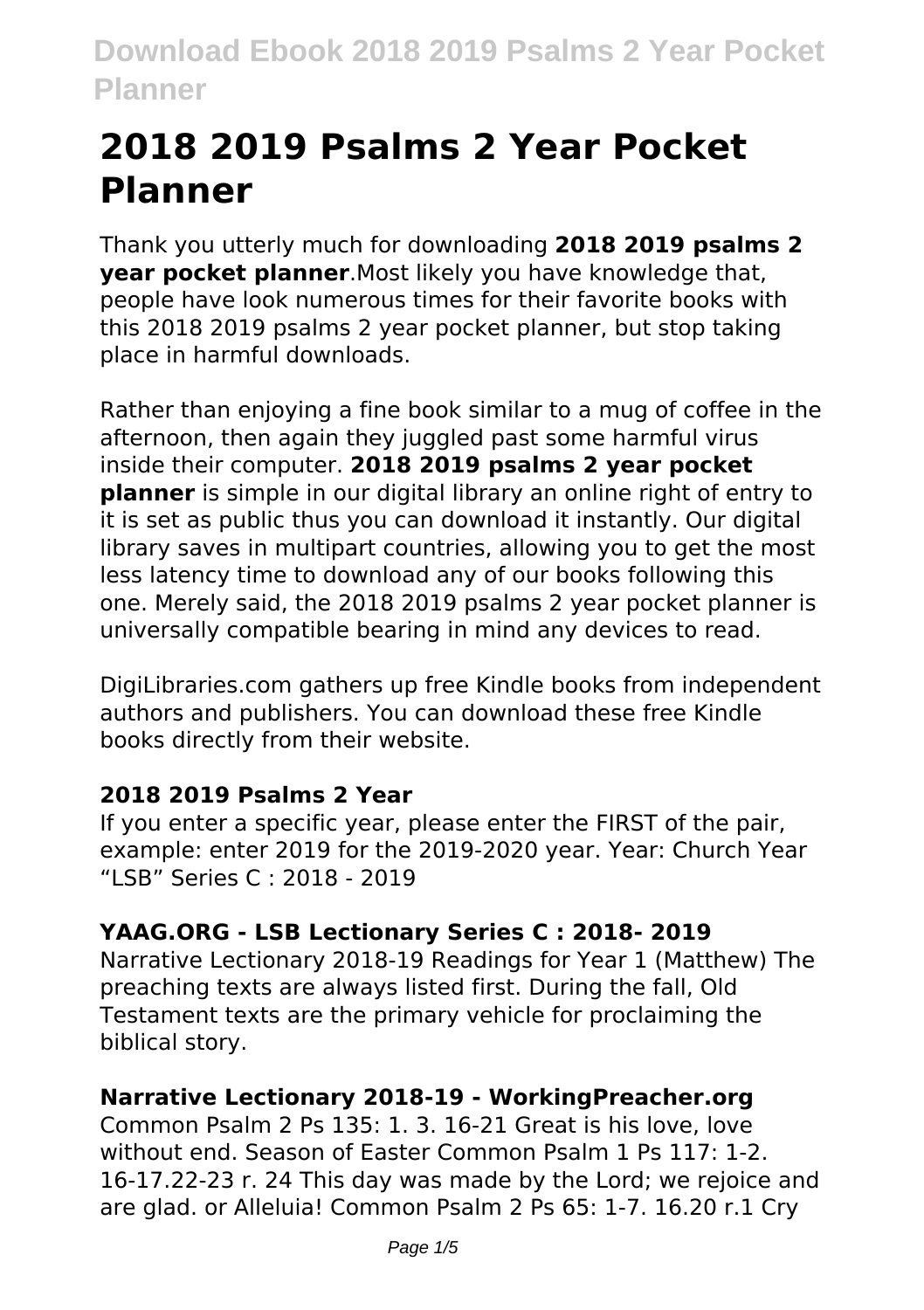# **2018 2019 Psalms 2 Year Pocket Planner**

Thank you utterly much for downloading **2018 2019 psalms 2 year pocket planner**.Most likely you have knowledge that, people have look numerous times for their favorite books with this 2018 2019 psalms 2 year pocket planner, but stop taking place in harmful downloads.

Rather than enjoying a fine book similar to a mug of coffee in the afternoon, then again they juggled past some harmful virus inside their computer. **2018 2019 psalms 2 year pocket planner** is simple in our digital library an online right of entry to it is set as public thus you can download it instantly. Our digital library saves in multipart countries, allowing you to get the most less latency time to download any of our books following this one. Merely said, the 2018 2019 psalms 2 year pocket planner is universally compatible bearing in mind any devices to read.

DigiLibraries.com gathers up free Kindle books from independent authors and publishers. You can download these free Kindle books directly from their website.

### **2018 2019 Psalms 2 Year**

If you enter a specific year, please enter the FIRST of the pair, example: enter 2019 for the 2019-2020 year. Year: Church Year "LSB" Series C : 2018 - 2019

# **YAAG.ORG - LSB Lectionary Series C : 2018- 2019**

Narrative Lectionary 2018-19 Readings for Year 1 (Matthew) The preaching texts are always listed first. During the fall, Old Testament texts are the primary vehicle for proclaiming the biblical story.

### **Narrative Lectionary 2018-19 - WorkingPreacher.org**

Common Psalm 2 Ps 135: 1. 3. 16-21 Great is his love, love without end. Season of Easter Common Psalm 1 Ps 117: 1-2. 16-17.22-23 r. 24 This day was made by the Lord; we rejoice and are glad. or Alleluia! Common Psalm 2 Ps 65: 1-7. 16.20 r.1 Cry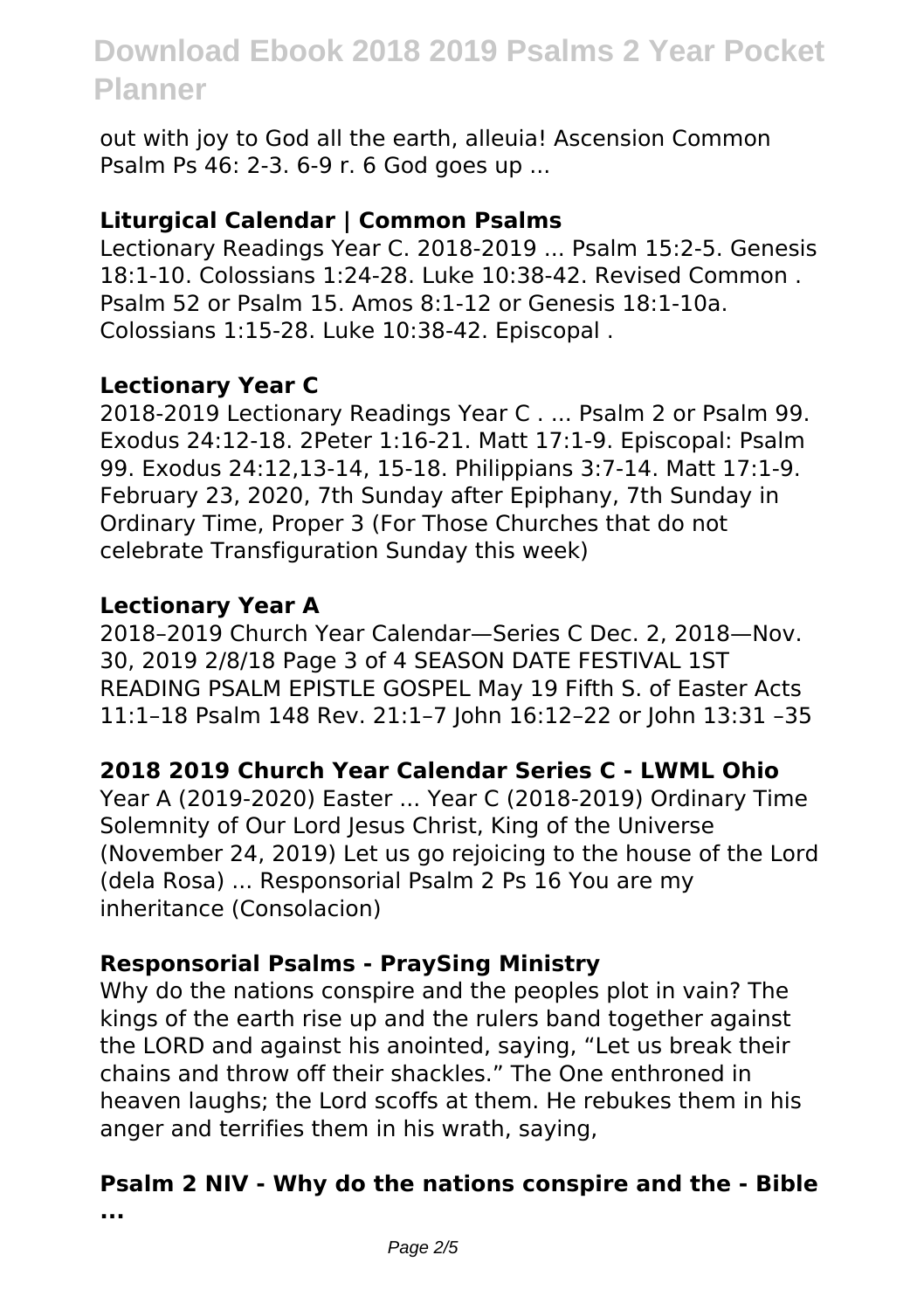out with joy to God all the earth, alleuia! Ascension Common Psalm Ps 46: 2-3. 6-9 r. 6 God goes up ...

#### **Liturgical Calendar | Common Psalms**

Lectionary Readings Year C. 2018-2019 ... Psalm 15:2-5. Genesis 18:1-10. Colossians 1:24-28. Luke 10:38-42. Revised Common . Psalm 52 or Psalm 15. Amos 8:1-12 or Genesis 18:1-10a. Colossians 1:15-28. Luke 10:38-42. Episcopal .

#### **Lectionary Year C**

2018-2019 Lectionary Readings Year C . ... Psalm 2 or Psalm 99. Exodus 24:12-18. 2Peter 1:16-21. Matt 17:1-9. Episcopal: Psalm 99. Exodus 24:12,13-14, 15-18. Philippians 3:7-14. Matt 17:1-9. February 23, 2020, 7th Sunday after Epiphany, 7th Sunday in Ordinary Time, Proper 3 (For Those Churches that do not celebrate Transfiguration Sunday this week)

#### **Lectionary Year A**

2018–2019 Church Year Calendar—Series C Dec. 2, 2018—Nov. 30, 2019 2/8/18 Page 3 of 4 SEASON DATE FESTIVAL 1ST READING PSALM EPISTLE GOSPEL May 19 Fifth S. of Easter Acts 11:1–18 Psalm 148 Rev. 21:1–7 John 16:12–22 or John 13:31 –35

#### **2018 2019 Church Year Calendar Series C - LWML Ohio**

Year A (2019-2020) Easter ... Year C (2018-2019) Ordinary Time Solemnity of Our Lord Jesus Christ, King of the Universe (November 24, 2019) Let us go rejoicing to the house of the Lord (dela Rosa) ... Responsorial Psalm 2 Ps 16 You are my inheritance (Consolacion)

#### **Responsorial Psalms - PraySing Ministry**

Why do the nations conspire and the peoples plot in vain? The kings of the earth rise up and the rulers band together against the LORD and against his anointed, saying, "Let us break their chains and throw off their shackles." The One enthroned in heaven laughs; the Lord scoffs at them. He rebukes them in his anger and terrifies them in his wrath, saying,

#### **Psalm 2 NIV - Why do the nations conspire and the - Bible ...**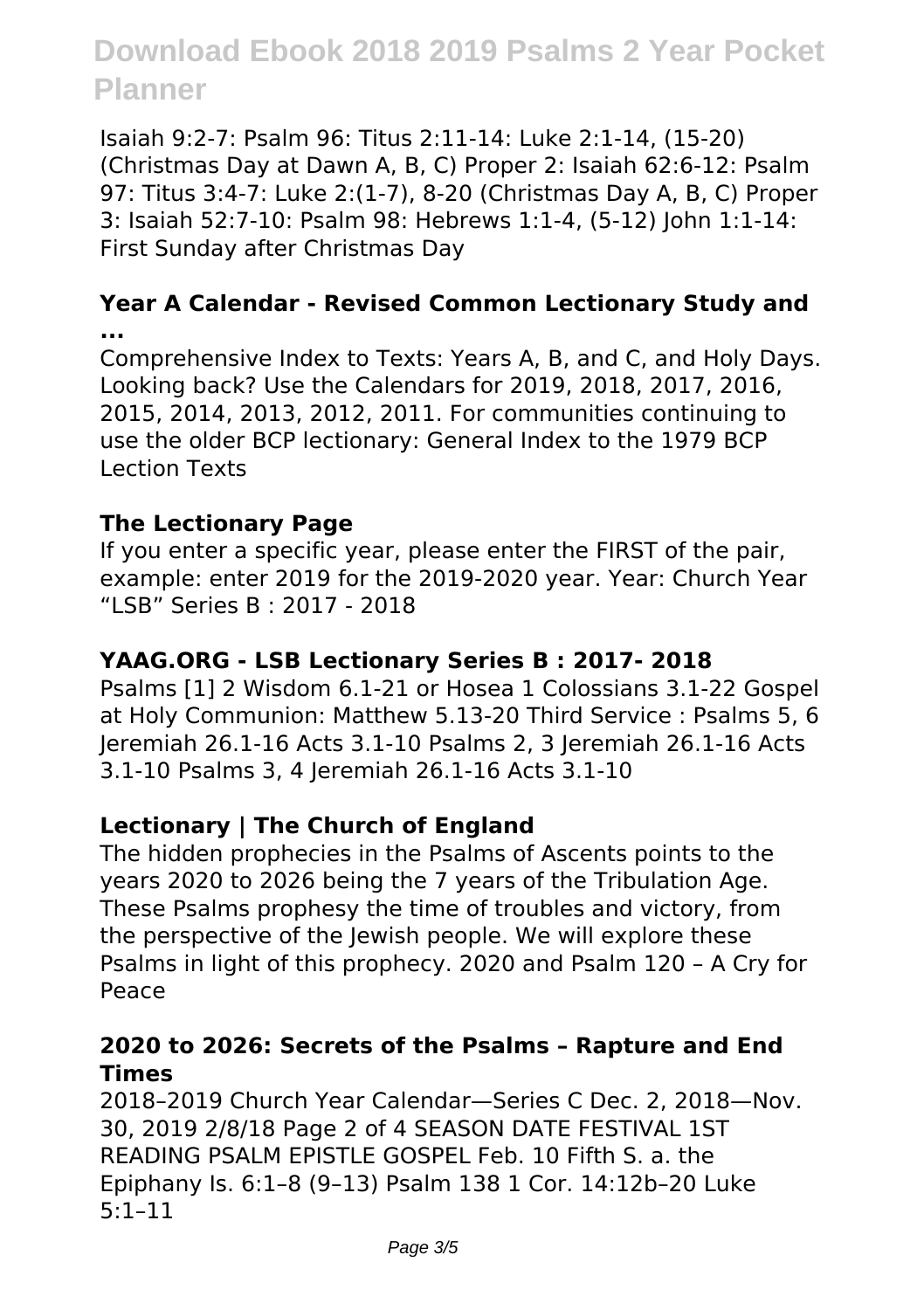Isaiah 9:2-7: Psalm 96: Titus 2:11-14: Luke 2:1-14, (15-20) (Christmas Day at Dawn A, B, C) Proper 2: Isaiah 62:6-12: Psalm 97: Titus 3:4-7: Luke 2:(1-7), 8-20 (Christmas Day A, B, C) Proper 3: Isaiah 52:7-10: Psalm 98: Hebrews 1:1-4, (5-12) John 1:1-14: First Sunday after Christmas Day

#### **Year A Calendar - Revised Common Lectionary Study and ...**

Comprehensive Index to Texts: Years A, B, and C, and Holy Days. Looking back? Use the Calendars for 2019, 2018, 2017, 2016, 2015, 2014, 2013, 2012, 2011. For communities continuing to use the older BCP lectionary: General Index to the 1979 BCP Lection Texts

#### **The Lectionary Page**

If you enter a specific year, please enter the FIRST of the pair, example: enter 2019 for the 2019-2020 year. Year: Church Year "LSB" Series B : 2017 - 2018

#### **YAAG.ORG - LSB Lectionary Series B : 2017- 2018**

Psalms [1] 2 Wisdom 6.1-21 or Hosea 1 Colossians 3.1-22 Gospel at Holy Communion: Matthew 5.13-20 Third Service : Psalms 5, 6 Jeremiah 26.1-16 Acts 3.1-10 Psalms 2, 3 Jeremiah 26.1-16 Acts 3.1-10 Psalms 3, 4 Jeremiah 26.1-16 Acts 3.1-10

#### **Lectionary | The Church of England**

The hidden prophecies in the Psalms of Ascents points to the years 2020 to 2026 being the 7 years of the Tribulation Age. These Psalms prophesy the time of troubles and victory, from the perspective of the Jewish people. We will explore these Psalms in light of this prophecy. 2020 and Psalm 120 – A Cry for Peace

#### **2020 to 2026: Secrets of the Psalms – Rapture and End Times**

2018–2019 Church Year Calendar—Series C Dec. 2, 2018—Nov. 30, 2019 2/8/18 Page 2 of 4 SEASON DATE FESTIVAL 1ST READING PSALM EPISTLE GOSPEL Feb. 10 Fifth S. a. the Epiphany Is. 6:1–8 (9–13) Psalm 138 1 Cor. 14:12b–20 Luke 5:1–11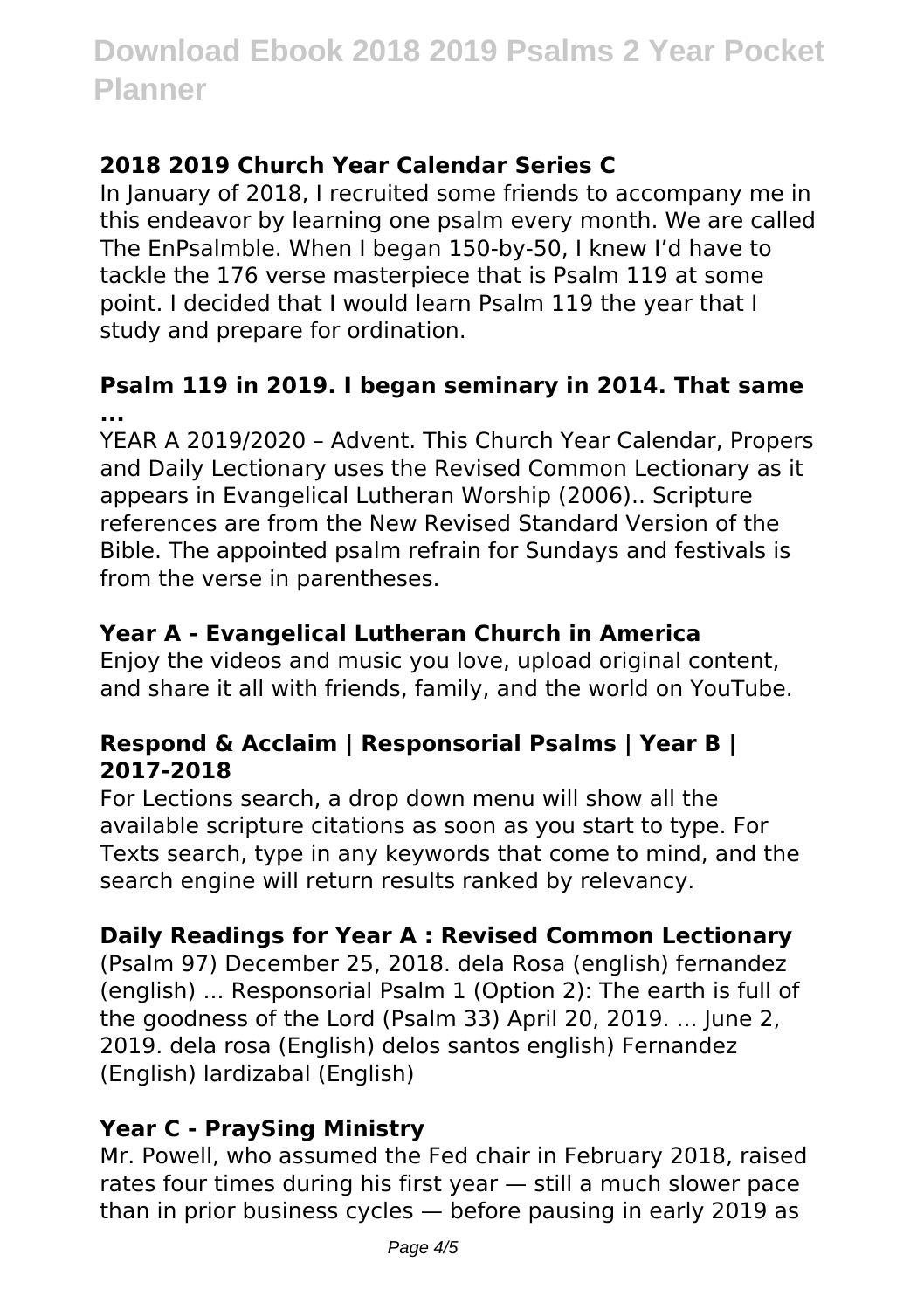# **2018 2019 Church Year Calendar Series C**

In January of 2018, I recruited some friends to accompany me in this endeavor by learning one psalm every month. We are called The EnPsalmble. When I began 150-by-50, I knew I'd have to tackle the 176 verse masterpiece that is Psalm 119 at some point. I decided that I would learn Psalm 119 the year that I study and prepare for ordination.

### **Psalm 119 in 2019. I began seminary in 2014. That same ...**

YEAR A 2019/2020 – Advent. This Church Year Calendar, Propers and Daily Lectionary uses the Revised Common Lectionary as it appears in Evangelical Lutheran Worship (2006).. Scripture references are from the New Revised Standard Version of the Bible. The appointed psalm refrain for Sundays and festivals is from the verse in parentheses.

## **Year A - Evangelical Lutheran Church in America**

Enjoy the videos and music you love, upload original content, and share it all with friends, family, and the world on YouTube.

### **Respond & Acclaim | Responsorial Psalms | Year B | 2017-2018**

For Lections search, a drop down menu will show all the available scripture citations as soon as you start to type. For Texts search, type in any keywords that come to mind, and the search engine will return results ranked by relevancy.

# **Daily Readings for Year A : Revised Common Lectionary**

(Psalm 97) December 25, 2018. dela Rosa (english) fernandez (english) ... Responsorial Psalm 1 (Option 2): The earth is full of the goodness of the Lord (Psalm 33) April 20, 2019. ... June 2, 2019. dela rosa (English) delos santos english) Fernandez (English) lardizabal (English)

### **Year C - PraySing Ministry**

Mr. Powell, who assumed the Fed chair in February 2018, raised rates four times during his first year — still a much slower pace than in prior business cycles — before pausing in early 2019 as